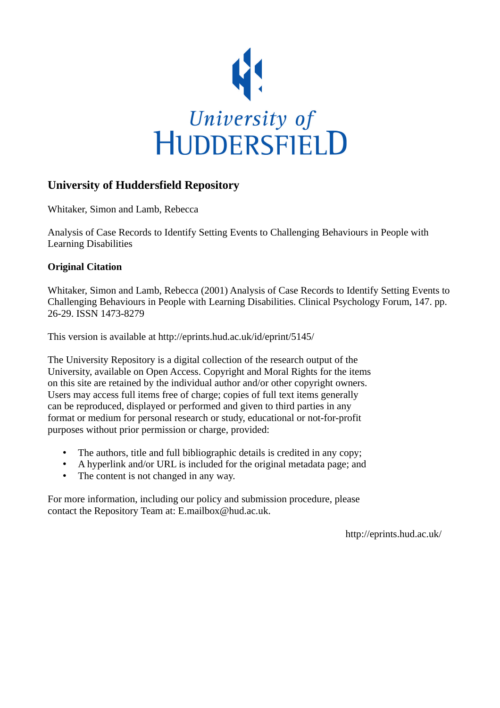

# **University of Huddersfield Repository**

Whitaker, Simon and Lamb, Rebecca

Analysis of Case Records to Identify Setting Events to Challenging Behaviours in People with Learning Disabilities

### **Original Citation**

Whitaker, Simon and Lamb, Rebecca (2001) Analysis of Case Records to Identify Setting Events to Challenging Behaviours in People with Learning Disabilities. Clinical Psychology Forum, 147. pp. 26-29. ISSN 1473-8279

This version is available at http://eprints.hud.ac.uk/id/eprint/5145/

The University Repository is a digital collection of the research output of the University, available on Open Access. Copyright and Moral Rights for the items on this site are retained by the individual author and/or other copyright owners. Users may access full items free of charge; copies of full text items generally can be reproduced, displayed or performed and given to third parties in any format or medium for personal research or study, educational or not-for-profit purposes without prior permission or charge, provided:

- The authors, title and full bibliographic details is credited in any copy;
- A hyperlink and/or URL is included for the original metadata page; and
- The content is not changed in any way.

For more information, including our policy and submission procedure, please contact the Repository Team at: E.mailbox@hud.ac.uk.

http://eprints.hud.ac.uk/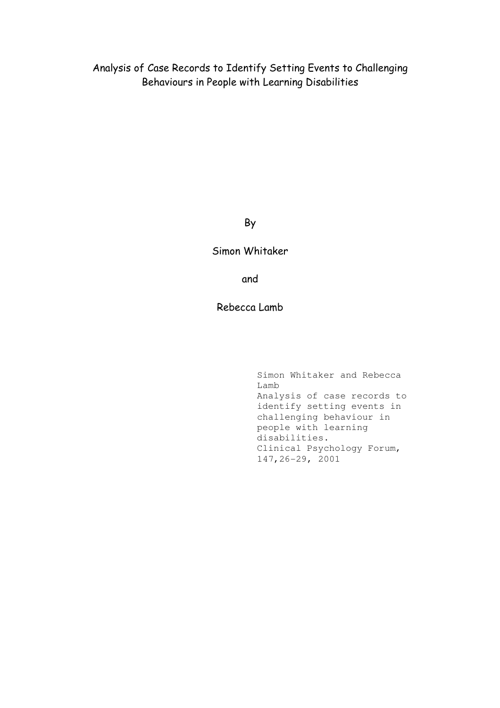Analysis of Case Records to Identify Setting Events to Challenging Behaviours in People with Learning Disabilities

#### By

#### Simon Whitaker

and

### Rebecca Lamb

Simon Whitaker and Rebecca Lamb Analysis of case records to identify setting events in challenging behaviour in people with learning disabilities. Clinical Psychology Forum, 147,26-29, 2001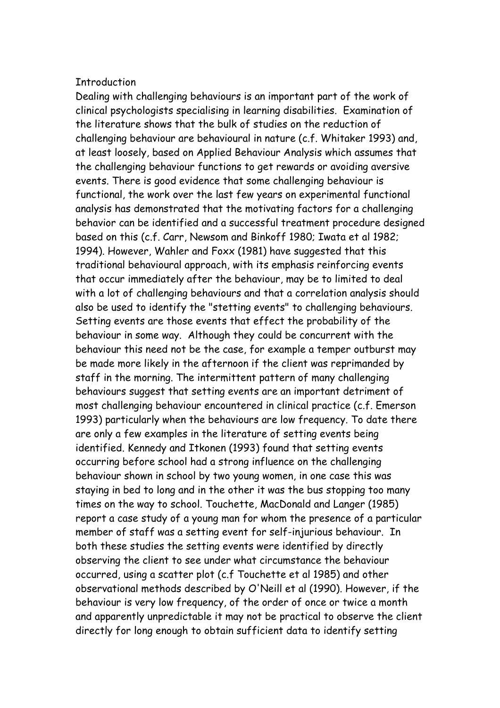#### **Thtroduction**

Dealing with challenging behaviours is an important part of the work of clinical psychologists specialising in learning disabilities. Examination of the literature shows that the bulk of studies on the reduction of challenging behaviour are behavioural in nature (c.f. Whitaker 1993) and, at least loosely, based on Applied Behaviour Analysis which assumes that the challenging behaviour functions to get rewards or avoiding aversive events. There is good evidence that some challenging behaviour is functional, the work over the last few years on experimental functional analysis has demonstrated that the motivating factors for a challenging behavior can be identified and a successful treatment procedure designed based on this (c.f. Carr, Newsom and Binkoff 1980; Iwata et al 1982; 1994). However, Wahler and Foxx (1981) have suggested that this traditional behavioural approach, with its emphasis reinforcing events that occur immediately after the behaviour, may be to limited to deal with a lot of challenging behaviours and that a correlation analysis should also be used to identify the "stetting events" to challenging behaviours. Setting events are those events that effect the probability of the behaviour in some way. Although they could be concurrent with the behaviour this need not be the case, for example a temper outburst may be made more likely in the afternoon if the client was reprimanded by staff in the morning. The intermittent pattern of many challenging behaviours suggest that setting events are an important detriment of most challenging behaviour encountered in clinical practice (c.f. Emerson 1993) particularly when the behaviours are low frequency. To date there are only a few examples in the literature of setting events being identified. Kennedy and Itkonen (1993) found that setting events occurring before school had a strong influence on the challenging behaviour shown in school by two young women, in one case this was staying in bed to long and in the other it was the bus stopping too many times on the way to school. Touchette, MacDonald and Langer (1985) report a case study of a young man for whom the presence of a particular member of staff was a setting event for self-injurious behaviour. In both these studies the setting events were identified by directly observing the client to see under what circumstance the behaviour occurred, using a scatter plot (c.f Touchette et al 1985) and other observational methods described by O'Neill et al (1990). However, if the behaviour is very low frequency, of the order of once or twice a month and apparently unpredictable it may not be practical to observe the client directly for long enough to obtain sufficient data to identify setting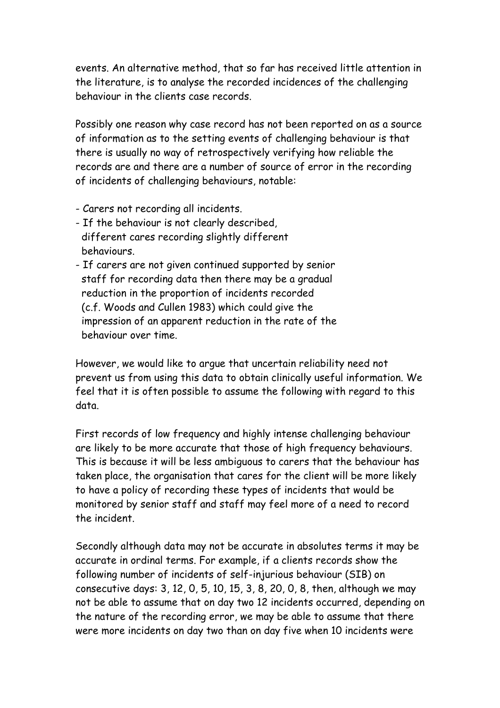events. An alternative method, that so far has received little attention in the literature, is to analyse the recorded incidences of the challenging behaviour in the clients case records.

Possibly one reason why case record has not been reported on as a source of information as to the setting events of challenging behaviour is that there is usually no way of retrospectively verifying how reliable the records are and there are a number of source of error in the recording of incidents of challenging behaviours, notable:

- Carers not recording all incidents.
- If the behaviour is not clearly described, different cares recording slightly different behaviours.
- If carers are not given continued supported by senior staff for recording data then there may be a gradual reduction in the proportion of incidents recorded (c.f. Woods and Cullen 1983) which could give the impression of an apparent reduction in the rate of the behaviour over time.

However, we would like to argue that uncertain reliability need not prevent us from using this data to obtain clinically useful information. We feel that it is often possible to assume the following with regard to this data.

First records of low frequency and highly intense challenging behaviour are likely to be more accurate that those of high frequency behaviours. This is because it will be less ambiguous to carers that the behaviour has taken place, the organisation that cares for the client will be more likely to have a policy of recording these types of incidents that would be monitored by senior staff and staff may feel more of a need to record the incident.

Secondly although data may not be accurate in absolutes terms it may be accurate in ordinal terms. For example, if a clients records show the following number of incidents of self-injurious behaviour (SIB) on consecutive days: 3, 12, 0, 5, 10, 15, 3, 8, 20, 0, 8, then, although we may not be able to assume that on day two 12 incidents occurred, depending on the nature of the recording error, we may be able to assume that there were more incidents on day two than on day five when 10 incidents were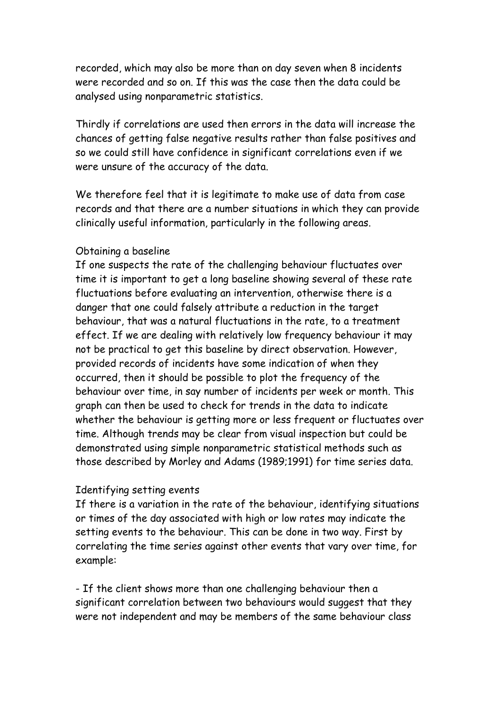recorded, which may also be more than on day seven when 8 incidents were recorded and so on. If this was the case then the data could be analysed using nonparametric statistics.

Thirdly if correlations are used then errors in the data will increase the chances of getting false negative results rather than false positives and so we could still have confidence in significant correlations even if we were unsure of the accuracy of the data.

We therefore feel that it is legitimate to make use of data from case records and that there are a number situations in which they can provide clinically useful information, particularly in the following areas.

### Obtaining a baseline

If one suspects the rate of the challenging behaviour fluctuates over time it is important to get a long baseline showing several of these rate fluctuations before evaluating an intervention, otherwise there is a danger that one could falsely attribute a reduction in the target behaviour, that was a natural fluctuations in the rate, to a treatment effect. If we are dealing with relatively low frequency behaviour it may not be practical to get this baseline by direct observation. However, provided records of incidents have some indication of when they occurred, then it should be possible to plot the frequency of the behaviour over time, in say number of incidents per week or month. This graph can then be used to check for trends in the data to indicate whether the behaviour is getting more or less frequent or fluctuates over time. Although trends may be clear from visual inspection but could be demonstrated using simple nonparametric statistical methods such as those described by Morley and Adams (1989;1991) for time series data.

## Identifying setting events

If there is a variation in the rate of the behaviour, identifying situations or times of the day associated with high or low rates may indicate the setting events to the behaviour. This can be done in two way. First by correlating the time series against other events that vary over time, for example:

- If the client shows more than one challenging behaviour then a significant correlation between two behaviours would suggest that they were not independent and may be members of the same behaviour class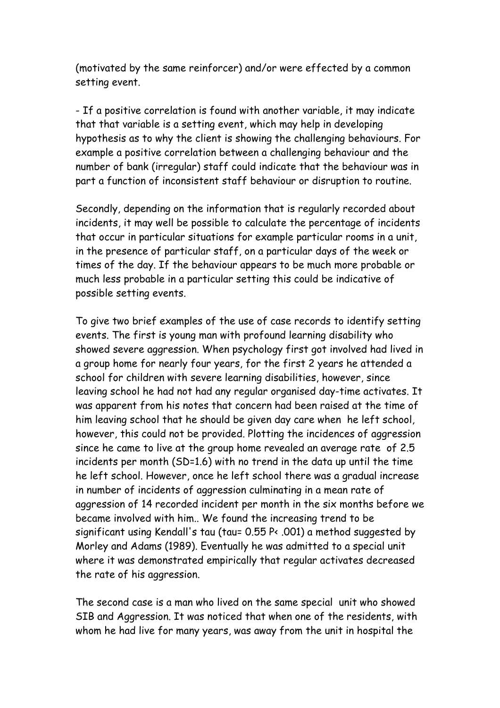(motivated by the same reinforcer) and/or were effected by a common setting event.

- If a positive correlation is found with another variable, it may indicate that that variable is a setting event, which may help in developing hypothesis as to why the client is showing the challenging behaviours. For example a positive correlation between a challenging behaviour and the number of bank (irregular) staff could indicate that the behaviour was in part a function of inconsistent staff behaviour or disruption to routine.

Secondly, depending on the information that is regularly recorded about incidents, it may well be possible to calculate the percentage of incidents that occur in particular situations for example particular rooms in a unit, in the presence of particular staff, on a particular days of the week or times of the day. If the behaviour appears to be much more probable or much less probable in a particular setting this could be indicative of possible setting events.

To give two brief examples of the use of case records to identify setting events. The first is young man with profound learning disability who showed severe aggression. When psychology first got involved had lived in a group home for nearly four years, for the first 2 years he attended a school for children with severe learning disabilities, however, since leaving school he had not had any regular organised day-time activates. It was apparent from his notes that concern had been raised at the time of him leaving school that he should be given day care when he left school, however, this could not be provided. Plotting the incidences of aggression since he came to live at the group home revealed an average rate of 2.5 incidents per month (SD=1.6) with no trend in the data up until the time he left school. However, once he left school there was a gradual increase in number of incidents of aggression culminating in a mean rate of aggression of 14 recorded incident per month in the six months before we became involved with him.. We found the increasing trend to be significant using Kendall's tau (tau= 0.55 P< .001) a method suggested by Morley and Adams (1989). Eventually he was admitted to a special unit where it was demonstrated empirically that regular activates decreased the rate of his aggression.

The second case is a man who lived on the same special unit who showed SIB and Aggression. It was noticed that when one of the residents, with whom he had live for many years, was away from the unit in hospital the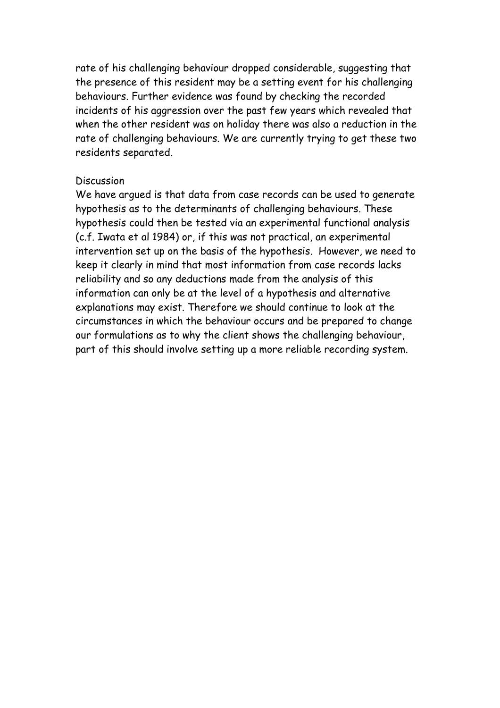rate of his challenging behaviour dropped considerable, suggesting that the presence of this resident may be a setting event for his challenging behaviours. Further evidence was found by checking the recorded incidents of his aggression over the past few years which revealed that when the other resident was on holiday there was also a reduction in the rate of challenging behaviours. We are currently trying to get these two residents separated.

### Discussion

We have argued is that data from case records can be used to generate hypothesis as to the determinants of challenging behaviours. These hypothesis could then be tested via an experimental functional analysis (c.f. Iwata et al 1984) or, if this was not practical, an experimental intervention set up on the basis of the hypothesis. However, we need to keep it clearly in mind that most information from case records lacks reliability and so any deductions made from the analysis of this information can only be at the level of a hypothesis and alternative explanations may exist. Therefore we should continue to look at the circumstances in which the behaviour occurs and be prepared to change our formulations as to why the client shows the challenging behaviour, part of this should involve setting up a more reliable recording system.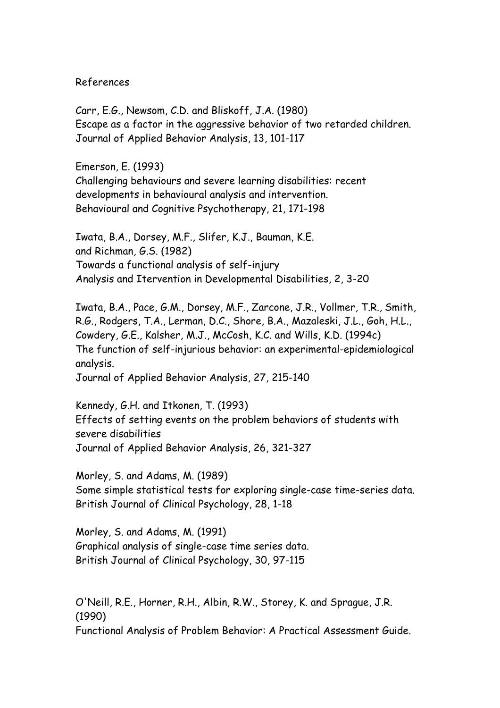References

Carr, E.G., Newsom, C.D. and Bliskoff, J.A. (1980) Escape as a factor in the aggressive behavior of two retarded children. Journal of Applied Behavior Analysis, 13, 101-117

Emerson, E. (1993) Challenging behaviours and severe learning disabilities: recent developments in behavioural analysis and intervention. Behavioural and Cognitive Psychotherapy, 21, 171-198

Iwata, B.A., Dorsey, M.F., Slifer, K.J., Bauman, K.E. and Richman, G.S. (1982) Towards a functional analysis of self-injury Analysis and Itervention in Developmental Disabilities, 2, 3-20

Iwata, B.A., Pace, G.M., Dorsey, M.F., Zarcone, J.R., Vollmer, T.R., Smith, R.G., Rodgers, T.A., Lerman, D.C., Shore, B.A., Mazaleski, J.L., Goh, H.L., Cowdery, G.E., Kalsher, M.J., McCosh, K.C. and Wills, K.D. (1994c) The function of self-injurious behavior: an experimental-epidemiological analysis.

Journal of Applied Behavior Analysis, 27, 215-140

Kennedy, G.H. and Itkonen, T. (1993) Effects of setting events on the problem behaviors of students with severe disabilities Journal of Applied Behavior Analysis, 26, 321-327

Morley, S. and Adams, M. (1989) Some simple statistical tests for exploring single-case time-series data. British Journal of Clinical Psychology, 28, 1-18

Morley, S. and Adams, M. (1991) Graphical analysis of single-case time series data. British Journal of Clinical Psychology, 30, 97-115

O'Neill, R.E., Horner, R.H., Albin, R.W., Storey, K. and Sprague, J.R. (1990) Functional Analysis of Problem Behavior: A Practical Assessment Guide.